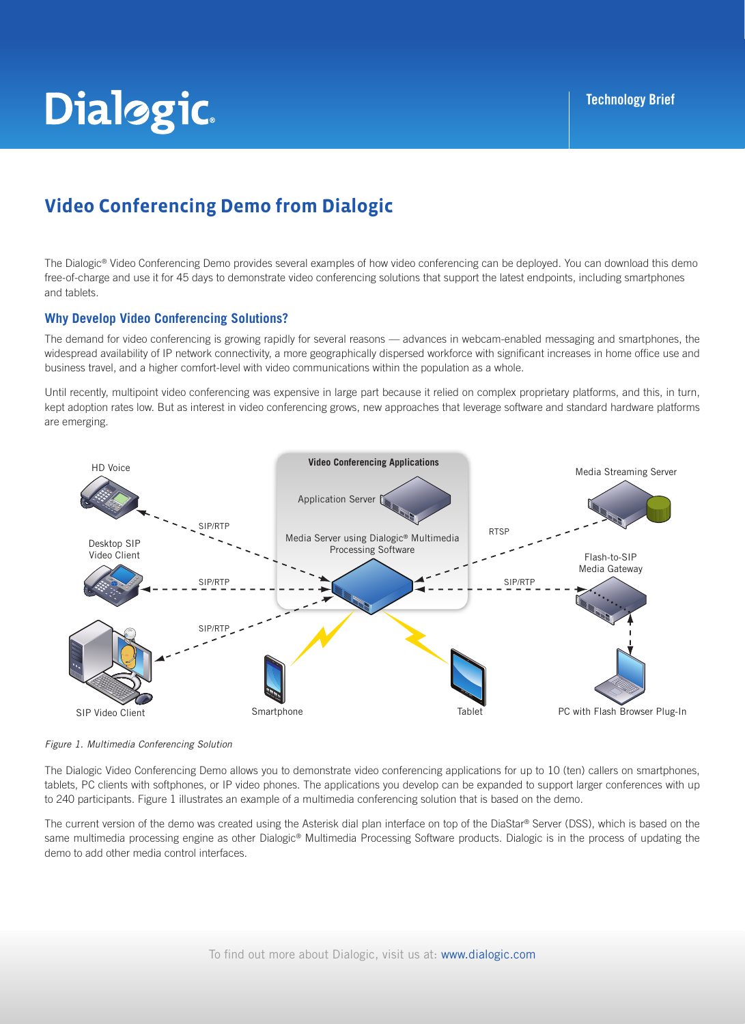# **Dialogic**

## **Video Conferencing Demo from Dialogic**

The Dialogic® Video Conferencing Demo provides several examples of how video conferencing can be deployed. You can download this demo free-of-charge and use it for 45 days to demonstrate video conferencing solutions that support the latest endpoints, including smartphones and tablets.

#### **Why Develop Video Conferencing Solutions?**

The demand for video conferencing is growing rapidly for several reasons — advances in webcam-enabled messaging and smartphones, the widespread availability of IP network connectivity, a more geographically dispersed workforce with significant increases in home office use and business travel, and a higher comfort-level with video communications within the population as a whole.

Until recently, multipoint video conferencing was expensive in large part because it relied on complex proprietary platforms, and this, in turn, kept adoption rates low. But as interest in video conferencing grows, new approaches that leverage software and standard hardware platforms are emerging.





The Dialogic Video Conferencing Demo allows you to demonstrate video conferencing applications for up to 10 (ten) callers on smartphones, tablets, PC clients with softphones, or IP video phones. The applications you develop can be expanded to support larger conferences with up to 240 participants. Figure 1 illustrates an example of a multimedia conferencing solution that is based on the demo.

The current version of the demo was created using the Asterisk dial plan interface on top of the DiaStar® Server (DSS), which is based on the same multimedia processing engine as other Dialogic® Multimedia Processing Software products. Dialogic is in the process of updating the demo to add other media control interfaces.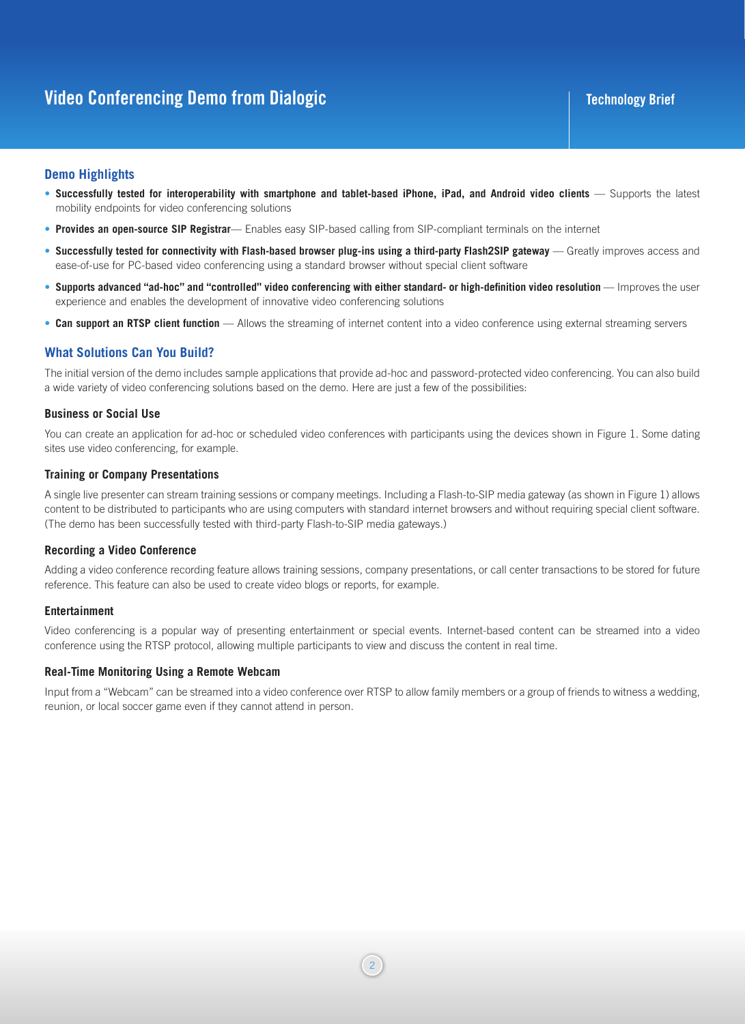### **Demo Highlights**

- Successfully tested for interoperability with smartphone and tablet-based iPhone, iPad, and Android video clients Supports the latest mobility endpoints for video conferencing solutions
- **• Provides an open-source SIP Registrar** Enables easy SIP-based calling from SIP-compliant terminals on the internet
- **• Successfully tested for connectivity with Flash-based browser plug-ins using a third-party Flash2SIP gateway** Greatly improves access and ease-of-use for PC-based video conferencing using a standard browser without special client software
- **• Supports advanced "ad-hoc" and "controlled" video conferencing with either standard- or high-definition video resolution** Improves the user experience and enables the development of innovative video conferencing solutions
- **• Can support an RTSP client function** Allows the streaming of internet content into a video conference using external streaming servers

#### **What Solutions Can You Build?**

The initial version of the demo includes sample applications that provide ad-hoc and password-protected video conferencing. You can also build a wide variety of video conferencing solutions based on the demo. Here are just a few of the possibilities:

#### **Business or Social Use**

You can create an application for ad-hoc or scheduled video conferences with participants using the devices shown in Figure 1. Some dating sites use video conferencing, for example.

#### **Training or Company Presentations**

A single live presenter can stream training sessions or company meetings. Including a Flash-to-SIP media gateway (as shown in Figure 1) allows content to be distributed to participants who are using computers with standard internet browsers and without requiring special client software. (The demo has been successfully tested with third-party Flash-to-SIP media gateways.)

#### **Recording a Video Conference**

Adding a video conference recording feature allows training sessions, company presentations, or call center transactions to be stored for future reference. This feature can also be used to create video blogs or reports, for example.

#### **Entertainment**

Video conferencing is a popular way of presenting entertainment or special events. Internet-based content can be streamed into a video conference using the RTSP protocol, allowing multiple participants to view and discuss the content in real time.

#### **Real-Time Monitoring Using a Remote Webcam**

Input from a "Webcam" can be streamed into a video conference over RTSP to allow family members or a group of friends to witness a wedding, reunion, or local soccer game even if they cannot attend in person.

2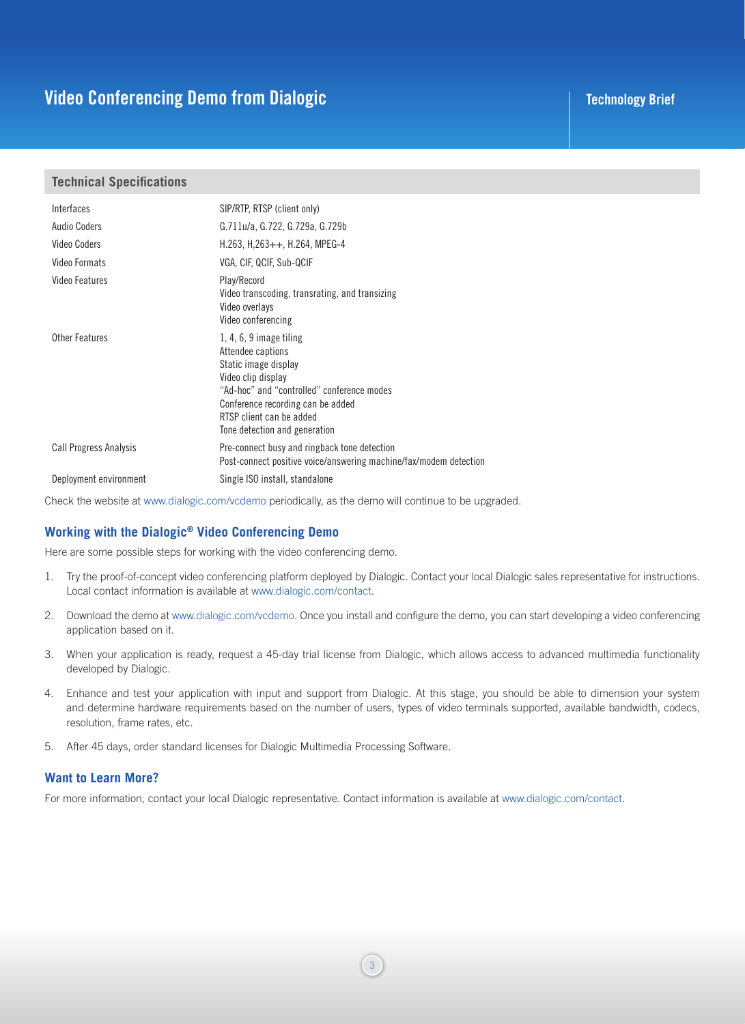### **Video Conferencing Demo from Dialogic Technology Brief Technology Brief**

#### **Technical Specifications**

| Interfaces                    | SIP/RTP, RTSP (client only)                                                                                                                                                                                                                  |
|-------------------------------|----------------------------------------------------------------------------------------------------------------------------------------------------------------------------------------------------------------------------------------------|
| Audio Coders                  | G.711u/a, G.722, G.729a, G.729b                                                                                                                                                                                                              |
| Video Coders                  | $H.263, H.263++, H.264, MPEG-4$                                                                                                                                                                                                              |
| Video Formats                 | VGA, CIF, QCIF, Sub-QCIF                                                                                                                                                                                                                     |
| Video Features                | Play/Record<br>Video transcoding, transrating, and transizing<br>Video overlays<br>Video conferencing                                                                                                                                        |
| <b>Other Features</b>         | $1, 4, 6, 9$ image tiling<br>Attendee captions<br>Static image display<br>Video clip display<br>"Ad-hoc" and "controlled" conference modes<br>Conference recording can be added<br>RTSP client can be added<br>Tone detection and generation |
| <b>Call Progress Analysis</b> | Pre-connect busy and ringback tone detection<br>Post-connect positive voice/answering machine/fax/modem detection                                                                                                                            |
| Deployment environment        | Single ISO install, standalone                                                                                                                                                                                                               |

Check the website at www.dialogic.com/vcdemo periodically, as the demo will continue to be upgraded.

#### **Working with the Dialogic® Video Conferencing Demo**

Here are some possible steps for working with the video conferencing demo.

- 1. Try the proof-of-concept video conferencing platform deployed by Dialogic. Contact your local Dialogic sales representative for instructions. Local contact information is available at www.dialogic.com/contact.
- 2. Download the demo at www.dialogic.com/vcdemo. Once you install and configure the demo, you can start developing a video conferencing application based on it.
- 3. When your application is ready, request a 45-day trial license from Dialogic, which allows access to advanced multimedia functionality developed by Dialogic.
- 4. Enhance and test your application with input and support from Dialogic. At this stage, you should be able to dimension your system and determine hardware requirements based on the number of users, types of video terminals supported, available bandwidth, codecs, resolution, frame rates, etc.
- 5. After 45 days, order standard licenses for Dialogic Multimedia Processing Software.

#### **Want to Learn More?**

For more information, contact your local Dialogic representative. Contact information is available at www.dialogic.com/contact.

3